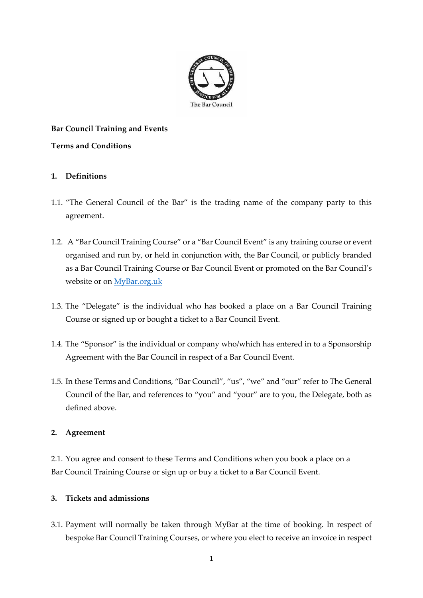

# **Bar Council Training and Events**

## **Terms and Conditions**

# **1. Definitions**

- 1.1. "The General Council of the Bar" is the trading name of the company party to this agreement.
- 1.2. A "Bar Council Training Course" or a "Bar Council Event" is any training course or event organised and run by, or held in conjunction with, the Bar Council, or publicly branded as a Bar Council Training Course or Bar Council Event or promoted on the Bar Council's website or on<MyBar.org.uk>
- 1.3. The "Delegate" is the individual who has booked a place on a Bar Council Training Course or signed up or bought a ticket to a Bar Council Event.
- 1.4. The "Sponsor" is the individual or company who/which has entered in to a Sponsorship Agreement with the Bar Council in respect of a Bar Council Event.
- 1.5. In these Terms and Conditions, "Bar Council", "us", "we" and "our" refer to The General Council of the Bar, and references to "you" and "your" are to you, the Delegate, both as defined above.

## **2. Agreement**

2.1. You agree and consent to these Terms and Conditions when you book a place on a Bar Council Training Course or sign up or buy a ticket to a Bar Council Event.

# **3. Tickets and admissions**

3.1. Payment will normally be taken through MyBar at the time of booking. In respect of bespoke Bar Council Training Courses, or where you elect to receive an invoice in respect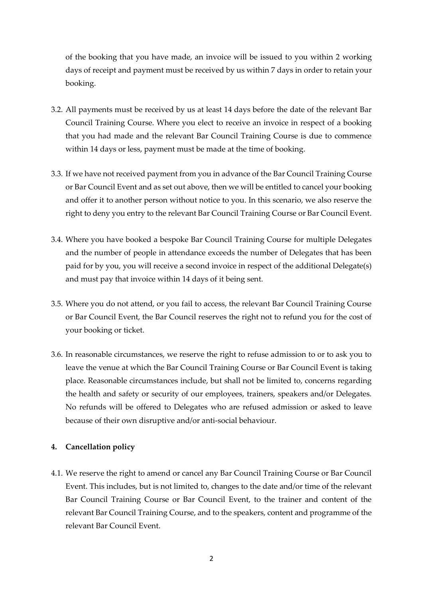of the booking that you have made, an invoice will be issued to you within 2 working days of receipt and payment must be received by us within 7 days in order to retain your booking.

- 3.2. All payments must be received by us at least 14 days before the date of the relevant Bar Council Training Course. Where you elect to receive an invoice in respect of a booking that you had made and the relevant Bar Council Training Course is due to commence within 14 days or less, payment must be made at the time of booking.
- 3.3. If we have not received payment from you in advance of the Bar Council Training Course or Bar Council Event and as set out above, then we will be entitled to cancel your booking and offer it to another person without notice to you. In this scenario, we also reserve the right to deny you entry to the relevant Bar Council Training Course or Bar Council Event.
- 3.4. Where you have booked a bespoke Bar Council Training Course for multiple Delegates and the number of people in attendance exceeds the number of Delegates that has been paid for by you, you will receive a second invoice in respect of the additional Delegate(s) and must pay that invoice within 14 days of it being sent.
- 3.5. Where you do not attend, or you fail to access, the relevant Bar Council Training Course or Bar Council Event, the Bar Council reserves the right not to refund you for the cost of your booking or ticket.
- 3.6. In reasonable circumstances, we reserve the right to refuse admission to or to ask you to leave the venue at which the Bar Council Training Course or Bar Council Event is taking place. Reasonable circumstances include, but shall not be limited to, concerns regarding the health and safety or security of our employees, trainers, speakers and/or Delegates. No refunds will be offered to Delegates who are refused admission or asked to leave because of their own disruptive and/or anti-social behaviour.

#### **4. Cancellation policy**

4.1. We reserve the right to amend or cancel any Bar Council Training Course or Bar Council Event. This includes, but is not limited to, changes to the date and/or time of the relevant Bar Council Training Course or Bar Council Event, to the trainer and content of the relevant Bar Council Training Course, and to the speakers, content and programme of the relevant Bar Council Event.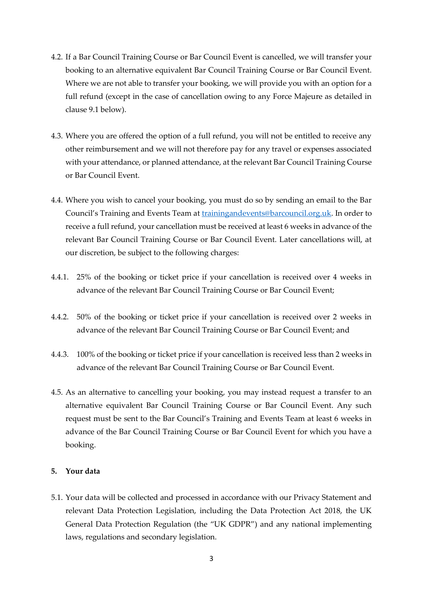- 4.2. If a Bar Council Training Course or Bar Council Event is cancelled, we will transfer your booking to an alternative equivalent Bar Council Training Course or Bar Council Event. Where we are not able to transfer your booking, we will provide you with an option for a full refund (except in the case of cancellation owing to any Force Majeure as detailed in clause 9.1 below).
- 4.3. Where you are offered the option of a full refund, you will not be entitled to receive any other reimbursement and we will not therefore pay for any travel or expenses associated with your attendance, or planned attendance, at the relevant Bar Council Training Course or Bar Council Event.
- 4.4. Where you wish to cancel your booking, you must do so by sending an email to the Bar Council's Training and Events Team at [trainingandevents@barcouncil.org.uk.](mailto:trainingandevents@barcouncil.org.uk) In order to receive a full refund, your cancellation must be received at least 6 weeks in advance of the relevant Bar Council Training Course or Bar Council Event. Later cancellations will, at our discretion, be subject to the following charges:
- 4.4.1. 25% of the booking or ticket price if your cancellation is received over 4 weeks in advance of the relevant Bar Council Training Course or Bar Council Event;
- 4.4.2. 50% of the booking or ticket price if your cancellation is received over 2 weeks in advance of the relevant Bar Council Training Course or Bar Council Event; and
- 4.4.3. 100% of the booking or ticket price if your cancellation is received less than 2 weeks in advance of the relevant Bar Council Training Course or Bar Council Event.
- 4.5. As an alternative to cancelling your booking, you may instead request a transfer to an alternative equivalent Bar Council Training Course or Bar Council Event. Any such request must be sent to the Bar Council's Training and Events Team at least 6 weeks in advance of the Bar Council Training Course or Bar Council Event for which you have a booking.

### **5. Your data**

5.1. Your data will be collected and processed in accordance with our Privacy Statement and relevant Data Protection Legislation, including the Data Protection Act 2018, the UK General Data Protection Regulation (the "UK GDPR") and any national implementing laws, regulations and secondary legislation.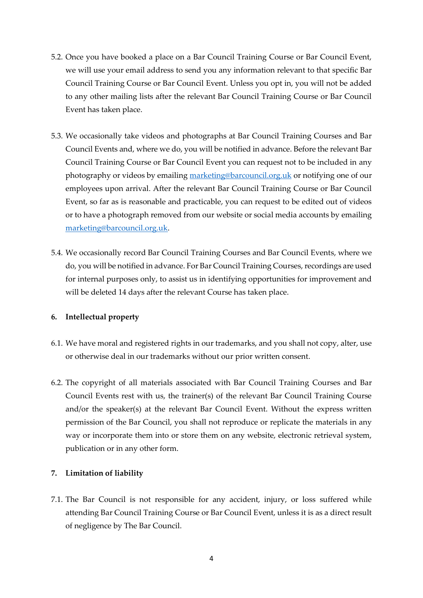- 5.2. Once you have booked a place on a Bar Council Training Course or Bar Council Event, we will use your email address to send you any information relevant to that specific Bar Council Training Course or Bar Council Event. Unless you opt in, you will not be added to any other mailing lists after the relevant Bar Council Training Course or Bar Council Event has taken place.
- 5.3. We occasionally take videos and photographs at Bar Council Training Courses and Bar Council Events and, where we do, you will be notified in advance. Before the relevant Bar Council Training Course or Bar Council Event you can request not to be included in any photography or videos by emailin[g marketing@barcouncil.org.uk](mailto:marketing@barcouncil.org.uk) or notifying one of our employees upon arrival. After the relevant Bar Council Training Course or Bar Council Event, so far as is reasonable and practicable, you can request to be edited out of videos or to have a photograph removed from our website or social media accounts by emailing [marketing@barcouncil.org.uk.](mailto:marketing@barcouncil.org.uk)
- 5.4. We occasionally record Bar Council Training Courses and Bar Council Events, where we do, you will be notified in advance. For Bar Council Training Courses, recordings are used for internal purposes only, to assist us in identifying opportunities for improvement and will be deleted 14 days after the relevant Course has taken place.

#### **6. Intellectual property**

- 6.1. We have moral and registered rights in our trademarks, and you shall not copy, alter, use or otherwise deal in our trademarks without our prior written consent.
- 6.2. The copyright of all materials associated with Bar Council Training Courses and Bar Council Events rest with us, the trainer(s) of the relevant Bar Council Training Course and/or the speaker(s) at the relevant Bar Council Event. Without the express written permission of the Bar Council, you shall not reproduce or replicate the materials in any way or incorporate them into or store them on any website, electronic retrieval system, publication or in any other form.

## **7. Limitation of liability**

7.1. The Bar Council is not responsible for any accident, injury, or loss suffered while attending Bar Council Training Course or Bar Council Event, unless it is as a direct result of negligence by The Bar Council.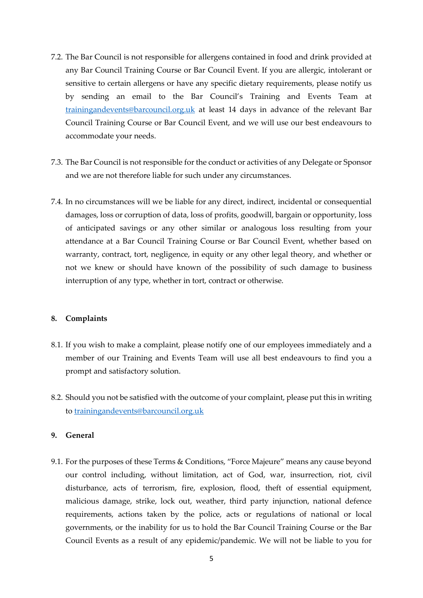- 7.2. The Bar Council is not responsible for allergens contained in food and drink provided at any Bar Council Training Course or Bar Council Event. If you are allergic, intolerant or sensitive to certain allergens or have any specific dietary requirements, please notify us by sending an email to the Bar Council's Training and Events Team at [trainingandevents@barcouncil.org.uk](mailto:trainingandevents@barcouncil.org.uk) at least 14 days in advance of the relevant Bar Council Training Course or Bar Council Event, and we will use our best endeavours to accommodate your needs.
- 7.3. The Bar Council is not responsible for the conduct or activities of any Delegate or Sponsor and we are not therefore liable for such under any circumstances.
- 7.4. In no circumstances will we be liable for any direct, indirect, incidental or consequential damages, loss or corruption of data, loss of profits, goodwill, bargain or opportunity, loss of anticipated savings or any other similar or analogous loss resulting from your attendance at a Bar Council Training Course or Bar Council Event, whether based on warranty, contract, tort, negligence, in equity or any other legal theory, and whether or not we knew or should have known of the possibility of such damage to business interruption of any type, whether in tort, contract or otherwise.

#### **8. Complaints**

- 8.1. If you wish to make a complaint, please notify one of our employees immediately and a member of our Training and Events Team will use all best endeavours to find you a prompt and satisfactory solution.
- 8.2. Should you not be satisfied with the outcome of your complaint, please put this in writing to [trainingandevents@barcouncil.org.uk](mailto:trainingandevents@barcouncil.org.uk)

#### **9. General**

9.1. For the purposes of these Terms & Conditions, "Force Majeure" means any cause beyond our control including, without limitation, act of God, war, insurrection, riot, civil disturbance, acts of terrorism, fire, explosion, flood, theft of essential equipment, malicious damage, strike, lock out, weather, third party injunction, national defence requirements, actions taken by the police, acts or regulations of national or local governments, or the inability for us to hold the Bar Council Training Course or the Bar Council Events as a result of any epidemic/pandemic. We will not be liable to you for